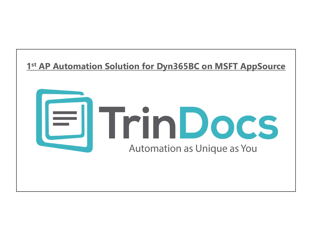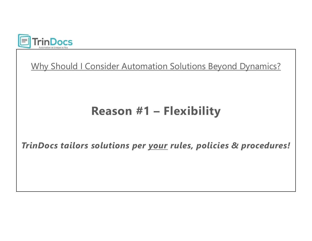

onsider Automation Solutions Beyond Dynamics?<br>Reason #1 – Flexibility Why Should I Consider Automation Solutions Beyond Dynamics?

Why Should I Consider Automation Solutions Beyond Dynamics?<br> **Reason #1 – Flexibility**<br>
TrinDocs tailors solutions per <u>your</u> rules, policies & procedures!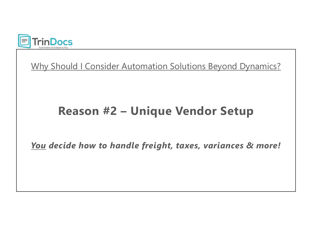

#### **Proces**<br>Nould I Consider Automation Solutions Beyond Dynamics?<br>**Reason #2 – Unique Vendor Setup** Why Should I Consider Automation Solutions Beyond Dynamics?<br> **Reason #2 – Unique Vendor Setup**<br>
You decide how to handle freight, taxes, variances & more!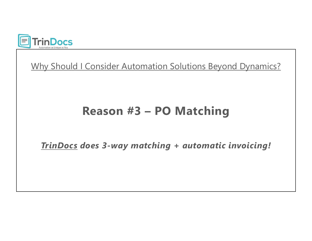

Example 2014 Consider Automation Solutions Beyond Dynamics?<br>
Reason #3 – PO Matching November 2013<br>
TrinDocs does 3-way matching<br>
TrinDocs does 3-way matching<br>
TrinDocs does 3-way matching + automatic invoicing! Why Should I Consider Automation Solutions Beyond Dynamics?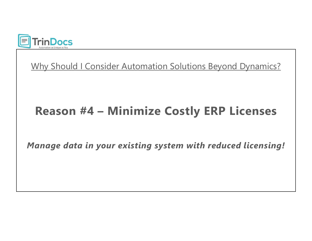

# FrinDocs<br>Vhy Should I Consider Automation Solutions Beyond Dynamics?<br>Reason #4 – Minimize Costly ERP Licenses

Manage data in your existing system with reduced licensing!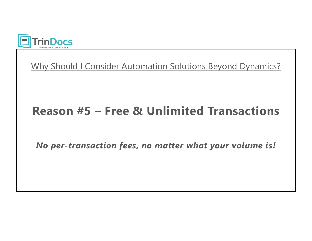

# TrinDocs<br>Why Should I Consider Automation Solutions Beyond Dynamics?<br>Reason #5 – Free & Unlimited Transactions

No per-transaction fees, no matter what your volume is!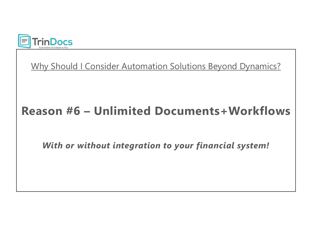

# Why Should I Consider Automation Solutions Beyond Dynamics?<br>Reason #6 – Unlimited Documents+Workflows

With or without integration to your financial system!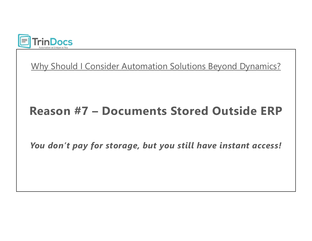

# TrinDocs<br>Why Should I Consider Automation Solutions Beyond Dynamics?<br>Reason #7 – Documents Stored Outside ERP

You don't pay for storage, but you still have instant access!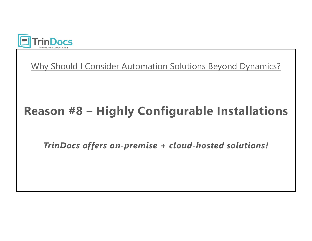

# The Trin Docs<br>Why Should I Consider Automation Solutions Beyond Dynamics?<br>Reason #8 – Highly Configurable Installations

TrinDocs offers on-premise + cloud-hosted solutions!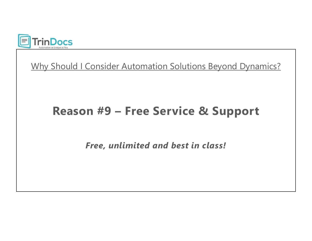

# Docs<br>Should I Consider Automation Solutions Beyond Dynamics?<br>Reason #9 – Free Service & Support

Free, unlimited and best in class!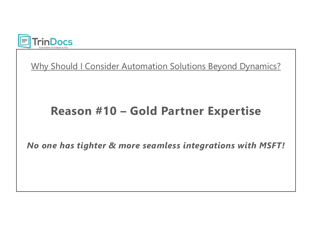

# **Docs**<br>Should I Consider Automation Solutions Beyond Dynamics?<br>**Reason #10 – Gold Partner Expertise**

No one has tighter & more seamless integrations with MSFT!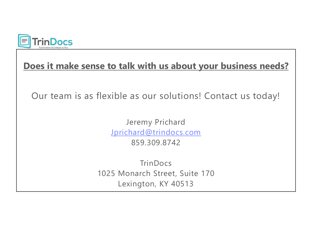

#### Does it make sense to talk with us about your business needs?

Our team is as flexible as our solutions! Contact us today!

Jeremy Prichard Jprichard@trindocs.com 859.309.8742

**TrinDocs** 1025 Monarch Street, Suite 170 Lexington, KY 40513